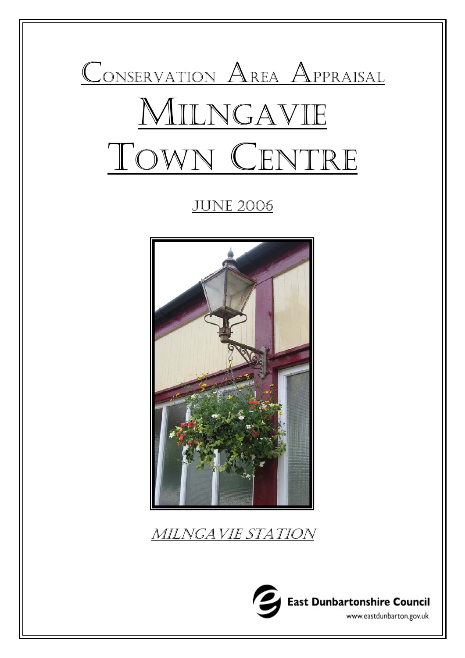

**JUNE 2006** 



MILNGAVIE STATION

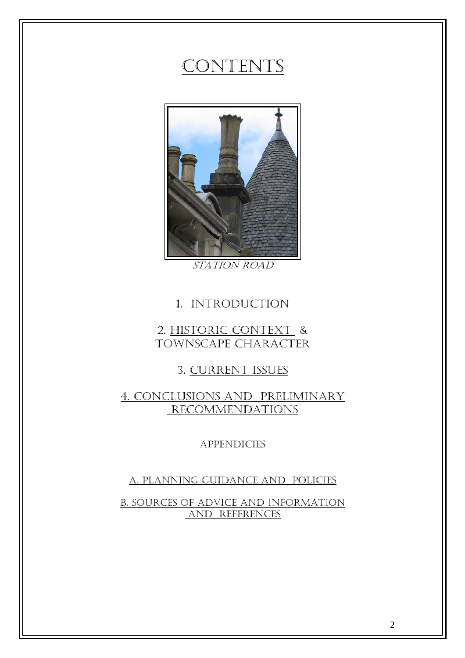# CONTENTS



STATION ROAD

## 1. INTRODUCTION

## 2. HISTORIC CONTEXT & TOWNSCAPE CHARACTER

## 3. CURRENT ISSUES

## 4. CONCLUSIONS AND PRELIMINARY RECOMMENDATIONS

### **APPENDICIES**

### A. PLANNING GUIDANCE AND POLICIES

B. SOURCES OF ADVICE AND INFORMATION AND REFERENCES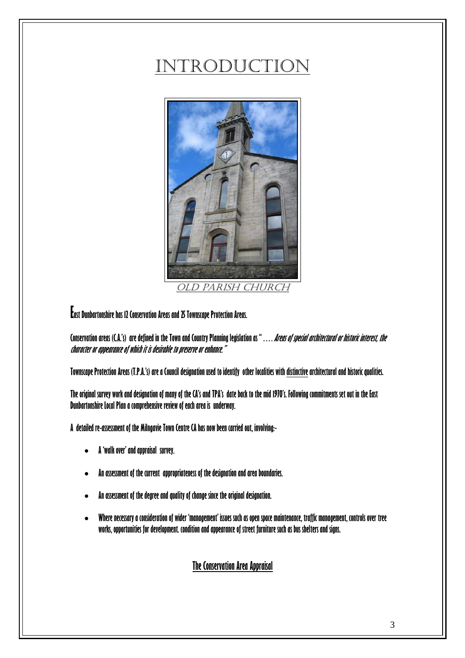# INTRODUCTION



OLD PARISH CHURCH

**East Dunbartonshire has 12 Conservation Areas and 25 Townscape Protection Areas.** 

**Conservation areas (C.A.'s) are defined in the Town and Country Planning legislation as "…. Areas of special architectural or historic interest, the character or appearance of which it is desirable to preserve or enhance."** 

**Townscape Protection Areas (T.P.A.'s) are a Council designation used to identify other localities with distinctive architectural and historic qualities.** 

**The original survey work and designation of many of the CA's and TPA's date back to the mid 1970's. Following commitments set out in the East Dunbartonshire Local Plan a comprehensive review of each area is underway.** 

**A detailed re-assessment of the Milngavie Town Centre CA has now been carried out, involving:-** 

- **A 'walk over' and appraisal survey.**
- **An assessment of the current appropriateness of the designation and area boundaries.**
- **An assessment of the degree and quality of change since the original designation.**
- **Where necessary a consideration of wider 'management' issues such as open space maintenance, traffic management, controls over tree works, opportunities for development. condition and appearance of street furniture such as bus shelters and signs.**

## **The Conservation Area Appraisal**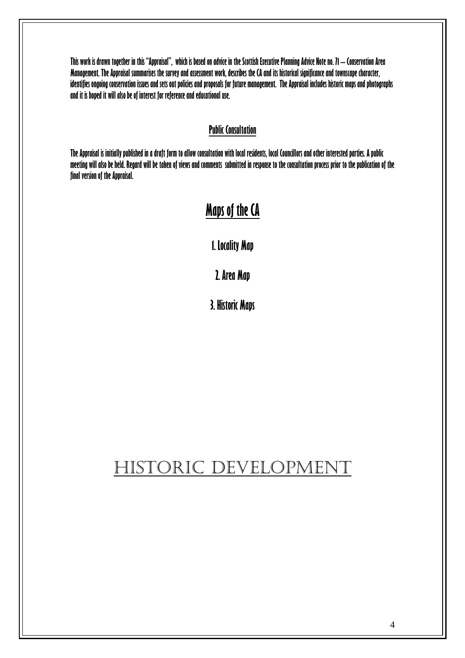**This work is drawn together in this "Appraisal", which is based on advice in the Scottish Executive Planning Advice Note no. 71 – Conservation Area Management. The Appraisal summarises the survey and assessment work, describes the CA and its historical significance and townscape character, identifies ongoing conservation issues and sets out policies and proposals for future management. The Appraisal includes historic maps and photographs and it is hoped it will also be of interest for reference and educational use.** 

### **Public Consultation**

**The Appraisal is initially published in a draft form to allow consultation with local residents, local Councillors and other interested parties. A public meeting will also be held. Regard will be taken of views and comments submitted in response to the consultation process prior to the publication of the final version of the Appraisal.** 

# **Maps of the CA**

**1. Locality Map** 

**2. Area Map** 

**3. Historic Maps**

# HISTORIC DEVELOPMENT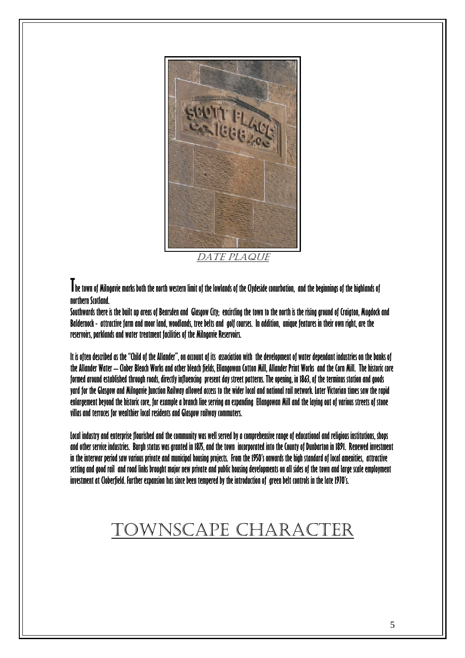

**The town of Milngavie marks both the north western limit of the lowlands of the Clydeside conurbation, and the beginnings of the highlands of northern Scotland.** 

**Southwards there is the built up areas of Bearsden and Glasgow City; encircling the town to the north is the rising ground of Craigton, Mugdock and Baldernock - attractive farm and moor land, woodlands, tree belts and golf courses. In addition, unique features in their own right, are the reservoirs, parklands and water treatment facilities of the Milngavie Reservoirs.** 

**It is often described as the "Child of the Allander", on account of its association with the development of water dependant industries on the banks of the Allander Water – Clober Bleach Works and other bleach fields, Ellangowan Cotton Mill, Allander Print Works and the Corn Mill. The historic core formed around established through roads, directly influencing present day street patterns. The opening, in 1863, of the terminus station and goods yard for the Glasgow and Milngavie Junction Railway allowed access to the wider local and national rail network. Later Victorian times saw the rapid enlargement beyond the historic core, for example a branch line serving an expanding Ellangowan Mill and the laying out of various streets of stone villas and terraces for wealthier local residents and Glasgow railway commuters.** 

**Local industry and enterprise flourished and the community was well served by a comprehensive range of educational and religious institutions, shops and other service industries. Burgh status was granted in 1875, and the town incorporated into the County of Dunbarton in 1891. Renewed investment in the interwar period saw various private and municipal housing projects. From the 1950's onwards the high standard of local amenities, attractive setting and good rail and road links brought major new private and public housing developments on all sides of the town and large scale employment investment at Cloberfield. Further expansion has since been tempered by the introduction of green belt controls in the late 1970's.** 

# TOWNSCAPE CHARACTER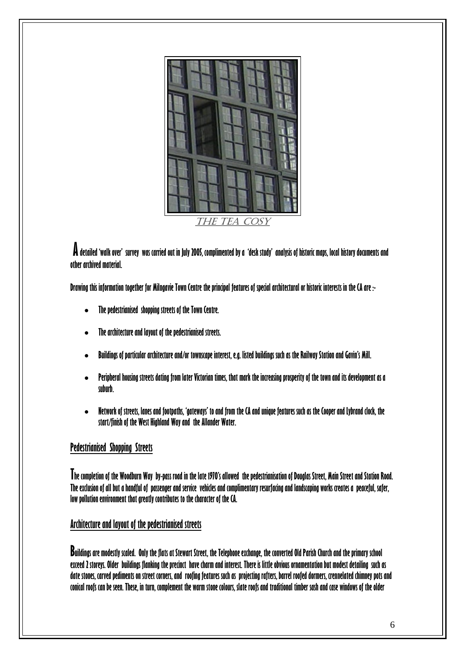

 **A detailed 'walk over' survey was carried out in July 2005, complimented by a 'desk study' analysis of historic maps, local history documents and other archived material.** 

**Drawing this information together for Milngavie Town Centre the principal features of special architectural or historic interests in the CA are :-** 

- **The pedestrianised shopping streets of the Town Centre.**
- **The architecture and layout of the pedestrianised streets.**
- **Buildings of particular architecture and/or townscape interest, e.g. listed buildings such as the Railway Station and Gavin's Mill.**
- **Peripheral housing streets dating from later Victorian times, that mark the increasing prosperity of the town and its development as a suburb.**
- **Network of streets, lanes and footpaths, 'gateways' to and from the CA and unique features such as the Cooper and Lybrand clock, the start/finish of the West Highland Way and the Allander Water.**

### **Pedestrianised Shopping Streets**

**The completion of the Woodburn Way by-pass road in the late 1970's allowed the pedestrianisation of Douglas Street, Main Street and Station Road. The exclusion of all but a handful of passenger and service vehicles and complimentary resurfacing and landscaping works creates a peaceful, safer, low pollution environment that greatly contributes to the character of the CA.** 

### **Architecture and layout of the pedestrianised streets**

**Buildings are modestly scaled. Only the flats at Stewart Street, the Telephone exchange, the converted Old Parish Church and the primary school exceed 2 storeys. Older buildings flanking the precinct have charm and interest. There is little obvious ornamentation but modest detailing such as date stones, carved pediments on street corners, and roofing features such as projecting rafters, barrel roofed dormers, crennelated chimney pots and conical roofs can be seen. These, in turn, complement the warm stone colours, slate roofs and traditional timber sash and case windows of the older**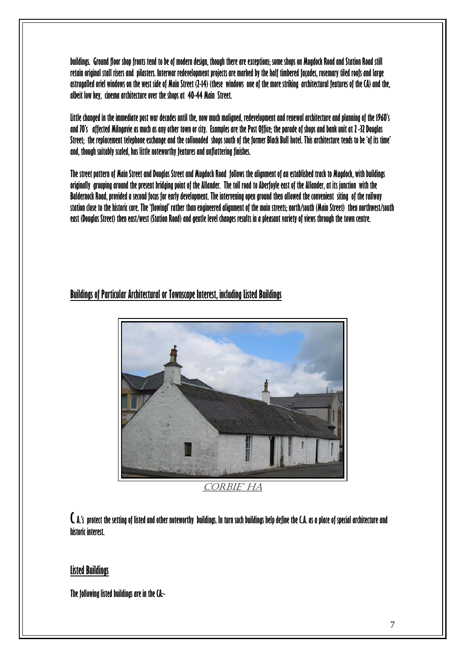**buildings. Ground floor shop fronts tend to be of modern design, though there are exceptions; some shops on Mugdock Road and Station Road still retain original stall risers and pilasters. Interwar redevelopment projects are marked by the half timbered façades, rosemary tiled roofs and large astragalled oriel windows on the west side of Main Street (2-14) (these windows one of the more striking architectural features of the CA) and the, albeit low key, cinema architecture over the shops at 40-44 Main Street.** 

**Little changed in the immediate post war decades until the, now much maligned, redevelopment and renewal architecture and planning of the 1960's and 70's affected Milngavie as much as any other town or city. Examples are the Post Office; the parade of shops and bank unit at 2 -32 Douglas Street; the replacement telephone exchange and the collonaded shops south of the former Black Bull hotel. This architecture tends to be 'of its time' and, though suitably scaled, has little noteworthy features and unflattering finishes.** 

**The street pattern of Main Street and Douglas Street and Mugdock Road follows the alignment of an established track to Mugdock, with buildings originally grouping around the present bridging point of the Allander. The toll road to Aberfoyle east of the Allander, at its junction with the Baldernock Road, provided a second focus for early development. The intervening open ground then allowed the convenient siting of the railway station close to the historic core. The 'flowingl' rather than engineered alignment of the main streets; north/south (Main Street) then northwest/south east (Douglas Street) then east/west (Station Road) and gentle level changes results in a pleasant variety of views through the town centre.** 

### **Buildings of Particular Architectural or Townscape Interest, including Listed Buildings**



CORBIE' HA

**C. A.'s protect the setting of listed and other noteworthy buildings. In turn such buildings help define the C.A. as a place of special architecture and historic interest.** 

### **Listed Buildings**

**The following listed buildings are in the CA:-**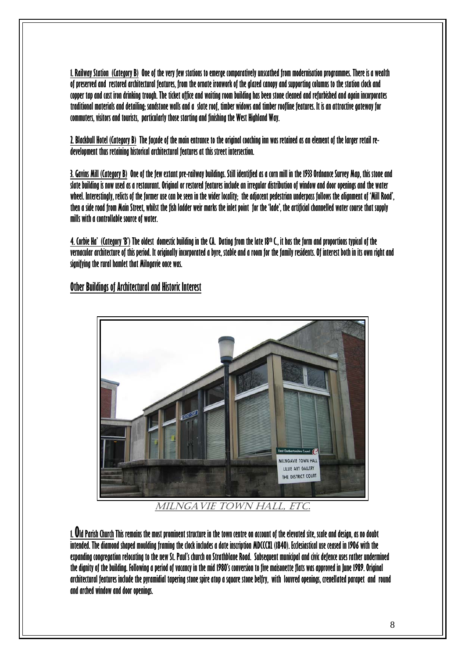**1. Railway Station (Category B) One of the very few stations to emerge comparatively unscathed from modernisation programmes. There is a wealth of preserved and restored architectural features, from the ornate ironwork of the glazed canopy and supporting columns to the station clock and copper tap and cast iron drinking trough. The ticket office and waiting room building has been stone cleaned and refurbished and again incorporates traditional materials and detailing; sandstone walls and a slate roof, timber widows and timber roofline features. It is an attractive gateway for commuters, visitors and tourists, particularly those starting and finishing the West Highland Way.** 

**2. Blackbull Hotel (Category B) The façade of the main entrance to the original coaching inn was retained as an element of the larger retail redevelopment thus retaining historical architectural features at this street intersection.** 

**3. Gavins Mill (Category B) One of the few extant pre-railway buildings. Still identified as a corn mill in the 1933 Ordnance Survey Map, this stone and slate building is now used as a restaurant. Original or restored features include an irregular distribution of window and door openings and the water wheel. Interestingly, relicts of the former use can be seen in the wider locality; the adjacent pedestrian underpass follows the alignment of 'Mill Road', then a side road from Main Street, whilst the fish ladder weir marks the inlet point for the 'lade', the artificial channelled water course that supply mills with a controllable source of water.** 

**4. Corbie Ha' (Category 'B') The oldest domestic building in the CA. Dating from the late 18th C., it has the form and proportions typical of the vernacular architecture of this period. It originally incorporated a byre, stable and a room for the family residents. Of interest both in its own right and signifying the rural hamlet that Milngavie once was.** 

### **Other Buildings of Architectural and Historic Interest**



MILNGAVIE TOWN HALL, ETC.

**1. Old Parish Church This remains the most prominent structure in the town centre on account of the elevated site, scale and design, as no doubt intended. The diamond shaped moulding framing the clock includes a date inscription MDCCCXL (1840). Ecclesiastical use ceased in 1906 with the expanding congregation relocating to the new St. Paul's church on Strathblane Road. Subsequent municipal and civic defence uses rather undermined the dignity of the building. Following a period of vacancy in the mid 1980's conversion to five maisonette flats was approved in June 1989. Original architectural features include the pyramidial tapering stone spire atop a square stone belfry, with louvred openings, crenellated parapet and round and arched window and door openings.**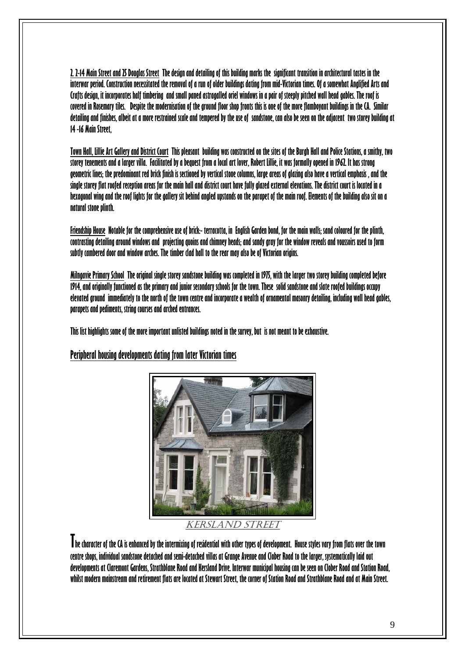**2. 2-14 Main Street and 25 Douglas Street The design and detailing of this building marks the significant transition in architectural tastes in the interwar period. Construction necessitated the removal of a run of older buildings dating from mid-Victorian times. Of a somewhat Anglified Arts and Crafts design, it incorporates half timbering and small paned astragalled oriel windows in a pair of steeply pitched wall head gables. The roof is covered in Rosemary tiles. Despite the modernisation of the ground floor shop fronts this is one of the more flamboyant buildings in the CA. Similar detailing and finishes, albeit at a more restrained scale and tempered by the use of sandstone, can also be seen on the adjacent two storey building at 14 -16 Main Street,** 

**Town Hall, Lillie Art Gallery and District Court This pleasant building was constructed on the sites of the Burgh Hall and Police Stations, a smithy, two storey tenements and a larger villa. Facilitated by a bequest from a local art lover, Robert Lillie, it was formally opened in 1962. It has strong geometric lines; the predominant red brick finish is sectioned by vertical stone columns, large areas of glazing also have a vertical emphasis , and the single storey flat roofed reception areas for the main hall and district court have fully glazed external elevations. The district court is located in a hexagonal wing and the roof lights for the gallery sit behind angled upstands on the parapet of the main roof. Elements of the building also sit on a natural stone plinth.** 

**Friendship House Notable for the comprehensive use of brick:- terracotta, in English Garden bond, for the main walls; sand coloured for the plinth, contrasting detailing around windows and projecting quoins and chimney heads; and sandy gray for the window reveals and voussoirs used to form subtly cambered door and window arches. The timber clad hall to the rear may also be of Victorian origins.** 

**Milngavie Primary School The original single storey sandstone building was completed in 1975, with the larger two storey building completed before 1914, and originally functioned as the primary and junior secondary schools for the town. These solid sandstone and slate roofed buildings occupy elevated ground immediately to the north of the town centre and incorporate a wealth of ornamental masonry detailing, including wall head gables, parapets and pediments, string courses and arched entrances.** 

**This list highlights some of the more important unlisted buildings noted in the survey, but is not meant to be exhaustive.** 

**Peripheral housing developments dating from later Victorian times**



KERSLAND STREET

**The character of the CA is enhanced by the intermixing of residential with other types of development. House styles vary from flats over the town centre shops, individual sandstone detached and semi-detached villas at Grange Avenue and Clober Road to the larger, systematically laid out developments at Claremont Gardens, Strathblane Road and Kersland Drive. Interwar municipal housing can be seen on Clober Road and Station Road, whilst modern mainstream and retirement flats are located at Stewart Street, the corner of Station Road and Strathblane Road and at Main Street.**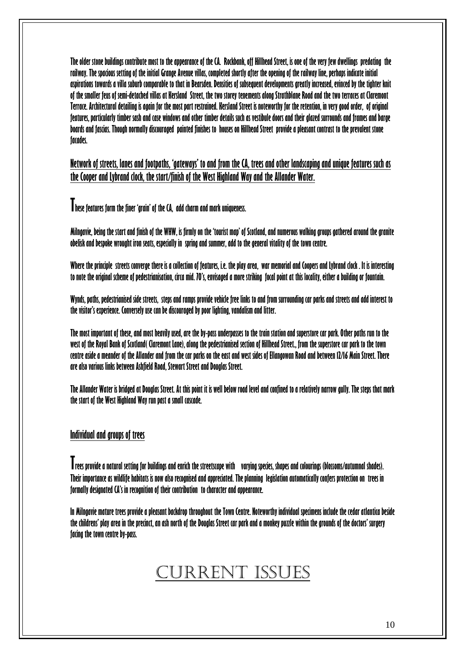**The older stone buildings contribute most to the appearance of the CA. Rockbank, off Hillhead Street, is one of the very few dwellings predating the railway. The spacious setting of the initial Grange Avenue villas, completed shortly after the opening of the railway line, perhaps indicate initial aspirations towards a villa suburb comparable to that in Bearsden. Densities of subsequent developments greatly increased, evinced by the tighter knit of the smaller feus of semi-detached villas at Kersland Street, the two storey tenements along Strathblane Road and the two terraces at Claremont Terrace. Architectural detailing is again for the most part restrained. Kersland Street is noteworthy for the retention, in very good order, of original features, particularly timber sash and case windows and other timber details such as vestibule doors and their glazed surrounds and frames and barge boards and fascias. Though normally discouraged painted finishes to houses on Hillhead Street provide a pleasant contrast to the prevalent stone facades.** 

**Network of streets, lanes and footpaths, 'gateways' to and from the CA, trees and other landscaping and unique features such as the Cooper and Lybrand clock, the start/finish of the West Highland Way and the Allander Water.**

**These features form the finer 'grain' of the CA, add charm and mark uniqueness.** 

**Milngavie, being the start and finish of the WHW, is firmly on the 'tourist map' of Scotland, and numerous walking groups gathered around the granite obelisk and bespoke wrought iron seats, especially in spring and summer, add to the general vitality of the town centre.** 

**Where the principle streets converge there is a collection of features, i.e. the play area, war memorial and Coopers and Lybrand clock . It is interesting to note the original scheme of pedestrianisation, circa mid. 70's, envisaged a more striking focal point at this locality, either a building or fountain.** 

**Wynds, paths, pedestrianised side streets, steps and ramps provide vehicle free links to and from surrounding car parks and streets and add interest to the visitor's experience. Conversely use can be discouraged by poor lighting, vandalism and litter.** 

**The most important of these, and most heavily used, are the by-pass underpasses to the train station and superstore car park. Other paths run to the west of the Royal Bank of Scotland( Claremont Lane), along the pedestrianised section of Hillhead Street., from the superstore car park to the town centre aside a meander of the Allander and from the car parks on the east and west sides of Ellangowan Road and between 12/16 Main Street. There are also various links between Ashfield Road, Stewart Street and Douglas Street.** 

**The Allander Water is bridged at Douglas Street. At this point it is well below road level and confined to a relatively narrow gully. The steps that mark the start of the West Highland Way run past a small cascade.** 

### **Individual and groups of trees**

**Trees provide a natural setting for buildings and enrich the streetscape with varying species, shapes and colourings (blossoms/autumnal shades). Their importance as wildlife habitats is now also recognised and appreciated. The planning legislation automatically confers protection on trees in formally designated CA's in recognition of their contribution to character and appearance.** 

**In Milngavie mature trees provide a pleasant backdrop throughout the Town Centre. Noteworthy individual specimens include the cedar atlantica beside the childrens' play area in the precinct, an ash north of the Douglas Street car park and a monkey puzzle within the grounds of the doctors' surgery facing the town centre by-pass.** 

# CURRENT ISSUES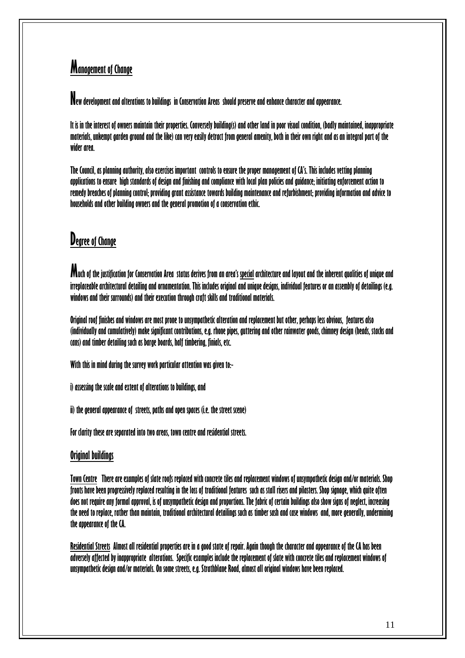# **Management of Change**

**New development and alterations to buildings in Conservation Areas should preserve and enhance character and appearance.** 

**It is in the interest of owners maintain their properties. Conversely building(s) and other land in poor visual condition, (badly maintained, inappropriate materials, unkempt garden ground and the like) can very easily detract from general amenity, both in their own right and as an integral part of the wider area.** 

**The Council, as planning authority, also exercises important controls to ensure the proper management of CA's. This includes vetting planning applications to ensure high standards of design and finishing and compliance with local plan policies and guidance; initiating enforcement action to remedy breaches of planning control; providing grant assistance towards building maintenance and refurbishment; providing information and advice to households and other building owners and the general promotion of a conservation ethic.** 

# **Degree of Change**

**Much of the justification for Conservation Area status derives from an area's special architecture and layout and the inherent qualities of unique and irreplaceable architectural detailing and ornamentation. This includes original and unique designs, individual features or an assembly of detailings (e.g. windows and their surrounds) and their execution through craft skills and traditional materials.** 

**Original roof finishes and windows are most prone to unsympathetic alteration and replacement but other, perhaps less obvious, features also (individually and cumulatively) make significant contributions, e.g. rhone pipes, guttering and other rainwater goods, chimney design (heads, stacks and cans) and timber detailing such as barge boards, half timbering, finials, etc.** 

**With this in mind during the survey work particular attention was given to:-** 

**i) assessing the scale and extent of alterations to buildings, and** 

**ii) the general appearance of streets, paths and open spaces (i.e. the street scene)** 

**For clarity these are separated into two areas, town centre and residential streets.** 

### **Original buildings**

**Town Centre There are examples of slate roofs replaced with concrete tiles and replacement windows of unsympathetic design and/or materials. Shop fronts have been progressively replaced resulting in the loss of traditional features such as stall risers and pilasters. Shop signage, which quite often does not require any formal approval, is of unsympathetic design and proportions. The fabric of certain buildings also show signs of neglect, increasing the need to replace, rather than maintain, traditional architectural detailings such as timber sash and case windows and, more generally, undermining the appearance of the CA.** 

**Residential Streets Almost all residential properties are in a good state of repair. Again though the character and appearance of the CA has been adversely affected by inappropriate alterations. Specific examples include the replacement of slate with concrete tiles and replacement windows of unsympathetic design and/or materials. On some streets, e.g. Strathblane Road, almost all original windows have been replaced.**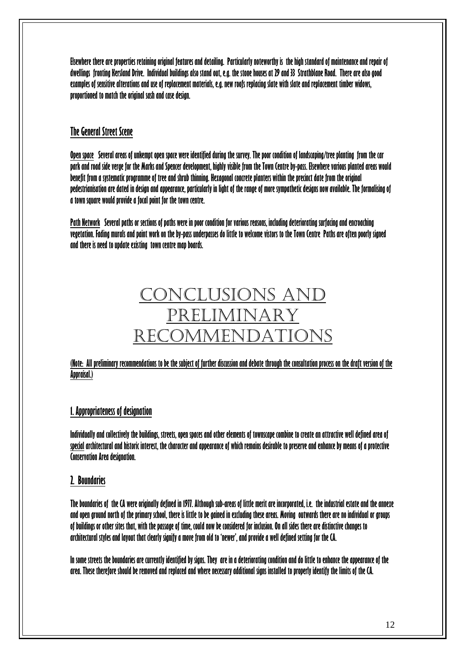**Elsewhere there are properties retaining original features and detailing. Particularly noteworthy is the high standard of maintenance and repair of dwellings fronting Kersland Drive. Individual buildings also stand out, e.g. the stone houses at 29 and 33 Strathblane Road. There are also good examples of sensitive alterations and use of replacement materials, e.g. new roofs replacing slate with slate and replacement timber widows, proportioned to match the original sash and case design.** 

### **The General Street Scene**

**Open space Several areas of unkempt open space were identified during the survey. The poor condition of landscaping/tree planting from the car park and road side verge for the Marks and Spencer development, highly visible from the Town Centre by-pass. Elsewhere various planted areas would benefit from a systematic programme of tree and shrub thinning. Hexagonal concrete planters within the precinct date from the original pedestrianisation are dated in design and appearance, particularly in light of the range of more sympathetic designs now available. The formalising of a town square would provide a focal point for the town centre.** 

**Path Network Several paths or sections of paths were in poor condition for various reasons, including deteriorating surfacing and encroaching vegetation. Fading murals and paint work on the by-pass underpasses do little to welcome vistors to the Town Centre Paths are often poorly signed and there is need to update existing town centre map boards.** 

# CONCLUSIONS AND PRELIMINARY RECOMMENDATIONS

### **(Note: All preliminary recommendations to be the subject of further discussion and debate through the consultation process on the draft version of the Appraisal.)**

### **1. Appropriateness of designation**

**Individually and collectively the buildings, streets, open spaces and other elements of townscape combine to create an attractive well defined area of special architectural and historic interest, the character and appearance of which remains desirable to preserve and enhance by means of a protective Conservation Area designation.** 

### **2. Boundaries**

**The boundaries of the CA were originally defined in 1977. Although sub-areas of little merit are incorporated, i.e. the industrial estate and the annexe and open ground north of the primary school, there is little to be gained in excluding these areas. Moving outwards there are no individual or groups of buildings or other sites that, with the passage of time, could now be considered for inclusion. On all sides there are distinctive changes to architectural styles and layout that clearly signify a move from old to 'newer', and provide a well defined setting for the CA.**

**In some streets the boundaries are currently identified by signs. They are in a deteriorating condition and do little to enhance the appearance of the area. These therefore should be removed and replaced and where necessary additional signs installed to properly identify the limits of the CA.**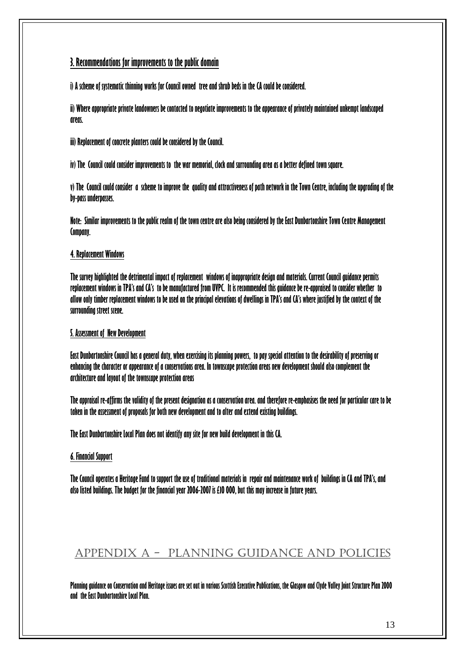### **3. Recommendations for improvements to the public domain**

**i) A scheme of systematic thinning works for Council owned tree and shrub beds in the CA could be considered.** 

**ii) Where appropriate private landowners be contacted to negotiate improvements to the appearance of privately maintained unkempt landscaped areas.** 

**iii) Replacement of concrete planters could be considered by the Council.** 

**iv) The Council could consider improvements to the war memorial, clock and surrounding area as a better defined town square.** 

**v) The Council could consider a scheme to improve the quality and attractiveness of path network in the Town Centre, including the upgrading of the by-pass underpasses.** 

**Note: Similar improvements to the public realm of the town centre are also being considered by the East Dunbartonshire Town Centre Management Company.** 

### **4. Replacement Windows**

**The survey highlighted the detrimental impact of replacement windows of inappropriate design and materials. Current Council guidance permits replacement windows in TPA's and CA's to be manufactured from UVPC. It is recommended this guidance be re-appraised to consider whether to allow only timber replacement windows to be used on the principal elevations of dwellings in TPA's and CA's where justified by the context of the surrounding street scene.** 

### **5. Assessment of New Development**

**East Dunbartonshire Council has a general duty, when exercising its planning powers, to pay special attention to the desirability of preserving or enhancing the character or appearance of a conservations area. In townscape protection areas new development should also complement the architecture and layout of the townscape protection areas** 

**The appraisal re-affirms the validity of the present designation as a conservation area. and therefore re-emphasises the need for particular care to be taken in the assessment of proposals for both new development and to alter and extend existing buildings.** 

**The East Dunbartonshire Local Plan does not identify any site for new build development in this CA.** 

### **6. Financial Support**

**The Council operates a Heritage Fund to support the use of traditional materials in repair and maintenance work of buildings in CA and TPA's, and also listed buildings. The budget for the financial year 2006-2007 is £10 000, but this may increase in future years.** 

## APPENDIX A - PLANNING GUIDANCE AND POLICIES

**Planning guidance on Conservation and Heritage issues are set out in various Scottish Executive Publications, the Glasgow and Clyde Valley Joint Structure Plan 2000 and the East Dunbartonshire Local Plan.**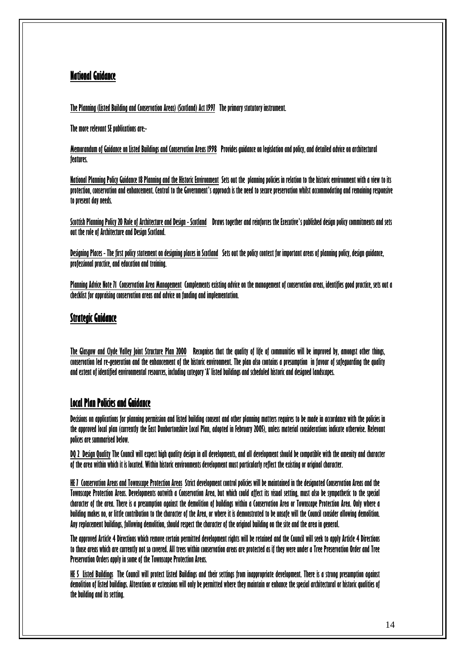### **National Guidance**

**The Planning (Listed Building and Conservation Areas) (Scotland) Act 1997 The primary statutory instrument.** 

**The more relevant SE publications are:-** 

**Memorandum of Guidance on Listed Buildings and Conservation Areas 1998 Provides guidance on legislation and policy, and detailed advice on architectural features.** 

**National Planning Policy Guidance 18 Planning and the Historic Environment Sets out the planning policies in relation to the historic environment with a view to its protection, conservation and enhancement. Central to the Government's approach is the need to secure preservation whilst accommodating and remaining responsive to present day needs.** 

**Scottish Planning Policy 20 Role of Architecture and Design - Scotland Draws together and reinforces the Executive's published design policy commitments and sets out the role of Architecture and Design Scotland.** 

**Designing Places - The first policy statement on designing places in Scotland Sets out the policy context for important areas of planning policy, design guidance, professional practice, and education and training.** 

**Planning Advice Note 71 Conservation Area Management Complements existing advice on the management of conservation areas, identifies good practice, sets out a checklist for appraising conservation areas and advice on funding and implementation.** 

### **Strategic Guidance**

**The Glasgow and Clyde Valley Joint Structure Plan 2000 Recognises that the quality of life of communities will be improved by, amongst other things, conservation led re-generation and the enhancement of the historic environment. The plan also contains a presumption in favour of safeguarding the quality and extent of identified environmental resources, including category 'A' listed buildings and scheduled historic and designed landscapes.** 

### **Local Plan Policies and Guidance**

**Decisions on applications for planning permission and listed building consent and other planning matters requires to be made in accordance with the policies in the approved local plan (currently the East Dunbartonshire Local Plan, adopted in February 2005), unless material considerations indicate otherwise. Relevant polices are summarised below.** 

**DQ 2 Design Quality The Council will expect high quality design in all developments, and all development should be compatible with the amenity and character of the area within which it is located. Within historic environments development must particularly reflect the existing or original character.** 

**HE 7 Conservation Areas and Townscape Protection Areas Strict development control policies will be maintained in the designated Conservation Areas and the Townscape Protection Areas. Developments outwith a Conservation Area, but which could affect its visual setting, must also be sympathetic to the special character of the area. There is a presumption against the demolition of buildings within a Conservation Area or Townscape Protection Area. Only where a building makes no, or little contribution to the character of the Area, or where it is demonstrated to be unsafe will the Council consider allowing demolition. Any replacement buildings, following demolition, should respect the character of the original building on the site and the area in general.** 

**The approved Article 4 Directions which remove certain permitted development rights will be retained and the Council will seek to apply Article 4 Directions to those areas which are currently not so covered. All trees within conservation areas are protected as if they were under a Tree Preservation Order and Tree Preservation Orders apply in some of the Townscape Protection Areas.** 

**HE 5 Listed Buildings The Council will protect Listed Buildings and their settings from inappropriate development. There is a strong presumption against demolition of listed buildings. Alterations or extensions will only be permitted where they maintain or enhance the special architectural or historic qualities of the building and its setting.**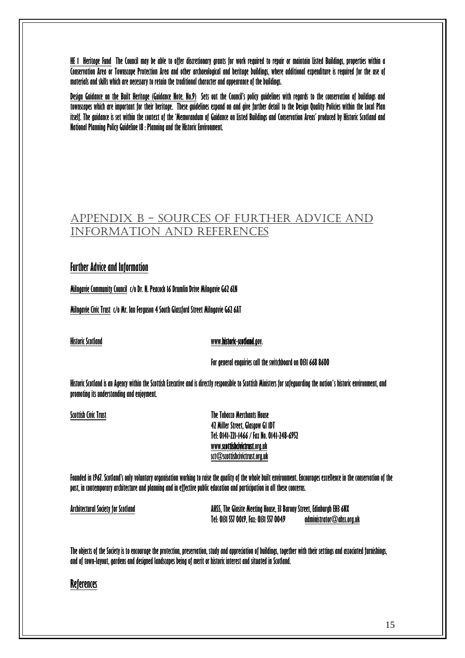**HE 1 Heritage Fund The Council may be able to offer discretionary grants for work required to repair or maintain Listed Buildings, properties within a Conservation Area or Townscape Protection Area and other archaeological and heritage buildings, where additional expenditure is required for the use of materials and skills which are necessary to retain the traditional character and appearance of the buildings.** 

**Design Guidance on the Built Heritage (Guidance Note. No.9) Sets out the Council's policy guidelines with regards to the conservation of buildings and townscapes which are important for their heritage. These guidelines expand on and give further detail to the Design Quality Policies within the Local Plan**  itself. The auidance is set within the context of the 'Memorandum of Guidance on Listed Buildings and Conservation Areas' produced by Historic Scotland and **National Planning Policy Guideline 18 : Planning and the Historic Environment.** 

## APPENDIX B - SOURCES OF FURTHER ADVICE AND INFORMATION AND REFERENCES

### **Further Advice and Information**

**Milngavie Community Council c/o Dr. N. Peacock 16 Drumlin Drive Milngavie G62 6LN** 

**Milngavie Civic Trust c/o Mr. Ian Ferguson 4 South Glassford Street Milngavie G62 6AT** 

#### **Historic Scotland [www.historic-scotland.gov.](http://www.historic-scotland.gov/)**

 **For general enquiries call the switchboard on 0131 668 8600** 

**Historic Scotland is an Agency within the [Scottish Executive](http://www.scotland.gov.uk/) and is directly responsible to Scottish Ministers for safeguarding the nation's historic environment, and promoting its understanding and enjoyment.** 

**Scottish Civic Trust The Tobacco Merchants House 42 Miller Street, Glasgow G1 1DT Tel: 0141-221-1466 / Fax No. 0141-248-6952 [www.scottishcivictrust.org.uk](http://www.scottishcivictrust.org.uk/)  [sct@scottishcivictrust.org.uk](mailto:sct@scottishcivictrust.org.uk)** 

**Founded in 1967. Scotland's only voluntary organisation working to raise the quality of the whole built environment. Encourages excellence in the conservation of the past, in contemporary architecture and planning and in effective public education and participation in all these concerns.** 

**Architectural Society for Scotland AHSS, The Glasite Meeting House, 33 Barony Street, Edinburgh EH3 6NX Tel: 0131 557 0019, Fax: 0131 557 0049 [administrator@ahss.org.uk](mailto:administrator@ahss.org.uk?subject=Enquiry%20from%20AHSS%20website)**

The objects of the Society is to encourage the protection, preservation, study and appreciation of buildings, together with their settings and associated furnishings, **and of town-layout, gardens and designed landscapes being of merit or historic interest and situated in Scotland.** 

### **References**